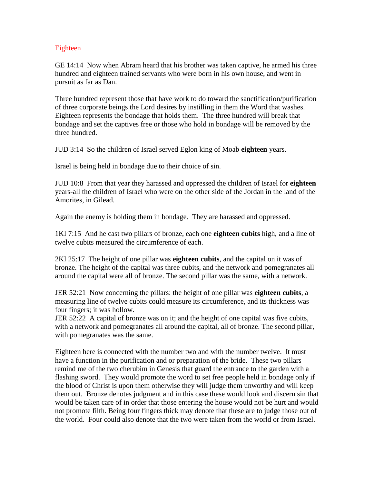## Eighteen

GE 14:14 Now when Abram heard that his brother was taken captive, he armed his three hundred and eighteen trained servants who were born in his own house, and went in pursuit as far as Dan.

Three hundred represent those that have work to do toward the sanctification/purification of three corporate beings the Lord desires by instilling in them the Word that washes. Eighteen represents the bondage that holds them. The three hundred will break that bondage and set the captives free or those who hold in bondage will be removed by the three hundred.

JUD 3:14 So the children of Israel served Eglon king of Moab **eighteen** years.

Israel is being held in bondage due to their choice of sin.

JUD 10:8 From that year they harassed and oppressed the children of Israel for **eighteen** years-all the children of Israel who were on the other side of the Jordan in the land of the Amorites, in Gilead.

Again the enemy is holding them in bondage. They are harassed and oppressed.

1KI 7:15 And he cast two pillars of bronze, each one **eighteen cubits** high, and a line of twelve cubits measured the circumference of each.

2KI 25:17 The height of one pillar was **eighteen cubits**, and the capital on it was of bronze. The height of the capital was three cubits, and the network and pomegranates all around the capital were all of bronze. The second pillar was the same, with a network.

JER 52:21 Now concerning the pillars: the height of one pillar was **eighteen cubits**, a measuring line of twelve cubits could measure its circumference, and its thickness was four fingers; it was hollow.

JER 52:22 A capital of bronze was on it; and the height of one capital was five cubits, with a network and pomegranates all around the capital, all of bronze. The second pillar, with pomegranates was the same.

Eighteen here is connected with the number two and with the number twelve. It must have a function in the purification and or preparation of the bride. These two pillars remind me of the two cherubim in Genesis that guard the entrance to the garden with a flashing sword. They would promote the word to set free people held in bondage only if the blood of Christ is upon them otherwise they will judge them unworthy and will keep them out. Bronze denotes judgment and in this case these would look and discern sin that would be taken care of in order that those entering the house would not be hurt and would not promote filth. Being four fingers thick may denote that these are to judge those out of the world. Four could also denote that the two were taken from the world or from Israel.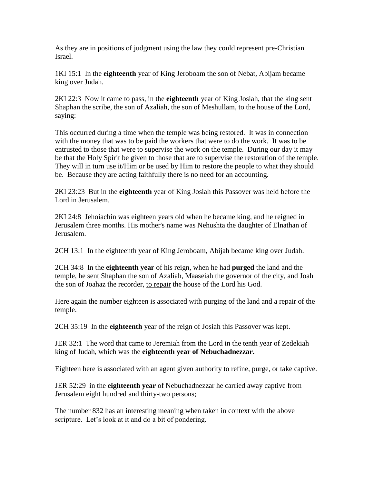As they are in positions of judgment using the law they could represent pre-Christian Israel.

1KI 15:1 In the **eighteenth** year of King Jeroboam the son of Nebat, Abijam became king over Judah.

2KI 22:3 Now it came to pass, in the **eighteenth** year of King Josiah, that the king sent Shaphan the scribe, the son of Azaliah, the son of Meshullam, to the house of the Lord, saying:

This occurred during a time when the temple was being restored. It was in connection with the money that was to be paid the workers that were to do the work. It was to be entrusted to those that were to supervise the work on the temple. During our day it may be that the Holy Spirit be given to those that are to supervise the restoration of the temple. They will in turn use it/Him or be used by Him to restore the people to what they should be. Because they are acting faithfully there is no need for an accounting.

2KI 23:23 But in the **eighteenth** year of King Josiah this Passover was held before the Lord in Jerusalem.

2KI 24:8 Jehoiachin was eighteen years old when he became king, and he reigned in Jerusalem three months. His mother's name was Nehushta the daughter of Elnathan of Jerusalem.

2CH 13:1 In the eighteenth year of King Jeroboam, Abijah became king over Judah.

2CH 34:8 In the **eighteenth year** of his reign, when he had **purged** the land and the temple, he sent Shaphan the son of Azaliah, Maaseiah the governor of the city, and Joah the son of Joahaz the recorder, to repair the house of the Lord his God.

Here again the number eighteen is associated with purging of the land and a repair of the temple.

2CH 35:19 In the **eighteenth** year of the reign of Josiah this Passover was kept.

JER 32:1 The word that came to Jeremiah from the Lord in the tenth year of Zedekiah king of Judah, which was the **eighteenth year of Nebuchadnezzar.**

Eighteen here is associated with an agent given authority to refine, purge, or take captive.

JER 52:29 in the **eighteenth year** of Nebuchadnezzar he carried away captive from Jerusalem eight hundred and thirty-two persons;

The number 832 has an interesting meaning when taken in context with the above scripture. Let's look at it and do a bit of pondering.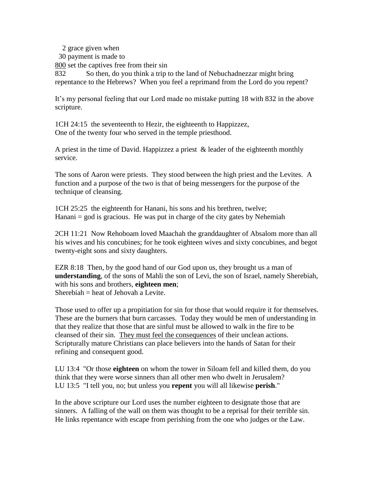2 grace given when

30 payment is made to

800 set the captives free from their sin

832 So then, do you think a trip to the land of Nebuchadnezzar might bring repentance to the Hebrews? When you feel a reprimand from the Lord do you repent?

It's my personal feeling that our Lord made no mistake putting 18 with 832 in the above scripture.

1CH 24:15 the seventeenth to Hezir, the eighteenth to Happizzez, One of the twenty four who served in the temple priesthood.

A priest in the time of David. Happizzez a priest  $\&$  leader of the eighteenth monthly service.

The sons of Aaron were priests. They stood between the high priest and the Levites. A function and a purpose of the two is that of being messengers for the purpose of the technique of cleansing.

1CH 25:25 the eighteenth for Hanani, his sons and his brethren, twelve; Hanani  $=$  god is gracious. He was put in charge of the city gates by Nehemiah

2CH 11:21 Now Rehoboam loved Maachah the granddaughter of Absalom more than all his wives and his concubines; for he took eighteen wives and sixty concubines, and begot twenty-eight sons and sixty daughters.

EZR 8:18 Then, by the good hand of our God upon us, they brought us a man of **understanding**, of the sons of Mahli the son of Levi, the son of Israel, namely Sherebiah, with his sons and brothers, **eighteen men**; Sherebiah = heat of Jehovah a Levite.

Those used to offer up a propitiation for sin for those that would require it for themselves. These are the burners that burn carcasses. Today they would be men of understanding in that they realize that those that are sinful must be allowed to walk in the fire to be cleansed of their sin. They must feel the consequences of their unclean actions. Scripturally mature Christians can place believers into the hands of Satan for their refining and consequent good.

LU 13:4 "Or those **eighteen** on whom the tower in Siloam fell and killed them, do you think that they were worse sinners than all other men who dwelt in Jerusalem? LU 13:5 "I tell you, no; but unless you **repent** you will all likewise **perish**."

In the above scripture our Lord uses the number eighteen to designate those that are sinners. A falling of the wall on them was thought to be a reprisal for their terrible sin. He links repentance with escape from perishing from the one who judges or the Law.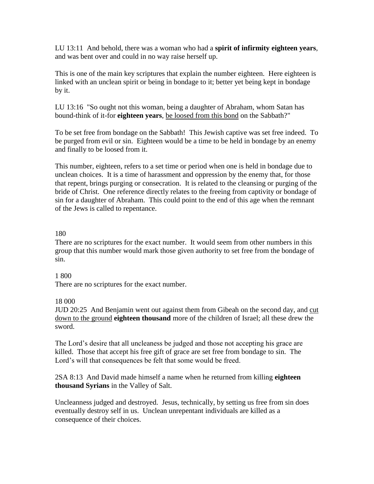LU 13:11 And behold, there was a woman who had a **spirit of infirmity eighteen years**, and was bent over and could in no way raise herself up.

This is one of the main key scriptures that explain the number eighteen. Here eighteen is linked with an unclean spirit or being in bondage to it; better yet being kept in bondage by it.

LU 13:16 "So ought not this woman, being a daughter of Abraham, whom Satan has bound-think of it-for **eighteen years**, be loosed from this bond on the Sabbath?"

To be set free from bondage on the Sabbath! This Jewish captive was set free indeed. To be purged from evil or sin. Eighteen would be a time to be held in bondage by an enemy and finally to be loosed from it.

This number, eighteen, refers to a set time or period when one is held in bondage due to unclean choices. It is a time of harassment and oppression by the enemy that, for those that repent, brings purging or consecration. It is related to the cleansing or purging of the bride of Christ. One reference directly relates to the freeing from captivity or bondage of sin for a daughter of Abraham. This could point to the end of this age when the remnant of the Jews is called to repentance.

# 180

There are no scriptures for the exact number. It would seem from other numbers in this group that this number would mark those given authority to set free from the bondage of sin.

## 1 800

There are no scriptures for the exact number.

## 18 000

JUD 20:25 And Benjamin went out against them from Gibeah on the second day, and cut down to the ground **eighteen thousand** more of the children of Israel; all these drew the sword.

The Lord's desire that all uncleaness be judged and those not accepting his grace are killed. Those that accept his free gift of grace are set free from bondage to sin. The Lord's will that consequences be felt that some would be freed.

2SA 8:13 And David made himself a name when he returned from killing **eighteen thousand Syrians** in the Valley of Salt.

Uncleanness judged and destroyed. Jesus, technically, by setting us free from sin does eventually destroy self in us. Unclean unrepentant individuals are killed as a consequence of their choices.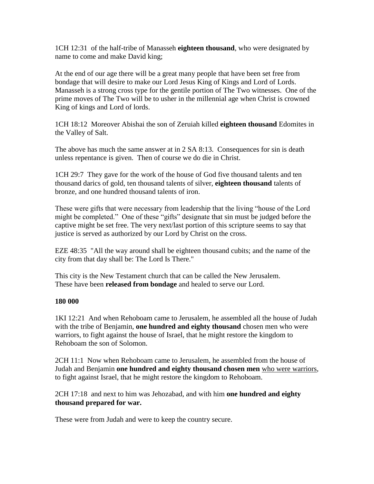1CH 12:31 of the half-tribe of Manasseh **eighteen thousand**, who were designated by name to come and make David king;

At the end of our age there will be a great many people that have been set free from bondage that will desire to make our Lord Jesus King of Kings and Lord of Lords. Manasseh is a strong cross type for the gentile portion of The Two witnesses. One of the prime moves of The Two will be to usher in the millennial age when Christ is crowned King of kings and Lord of lords.

1CH 18:12 Moreover Abishai the son of Zeruiah killed **eighteen thousand** Edomites in the Valley of Salt.

The above has much the same answer at in 2 SA 8:13. Consequences for sin is death unless repentance is given. Then of course we do die in Christ.

1CH 29:7 They gave for the work of the house of God five thousand talents and ten thousand darics of gold, ten thousand talents of silver, **eighteen thousand** talents of bronze, and one hundred thousand talents of iron.

These were gifts that were necessary from leadership that the living "house of the Lord might be completed." One of these "gifts" designate that sin must be judged before the captive might be set free. The very next/last portion of this scripture seems to say that justice is served as authorized by our Lord by Christ on the cross.

EZE 48:35 "All the way around shall be eighteen thousand cubits; and the name of the city from that day shall be: The Lord Is There."

This city is the New Testament church that can be called the New Jerusalem. These have been **released from bondage** and healed to serve our Lord.

## **180 000**

1KI 12:21 And when Rehoboam came to Jerusalem, he assembled all the house of Judah with the tribe of Benjamin, **one hundred and eighty thousand** chosen men who were warriors, to fight against the house of Israel, that he might restore the kingdom to Rehoboam the son of Solomon.

2CH 11:1 Now when Rehoboam came to Jerusalem, he assembled from the house of Judah and Benjamin **one hundred and eighty thousand chosen men** who were warriors, to fight against Israel, that he might restore the kingdom to Rehoboam.

2CH 17:18 and next to him was Jehozabad, and with him **one hundred and eighty thousand prepared for war.**

These were from Judah and were to keep the country secure.